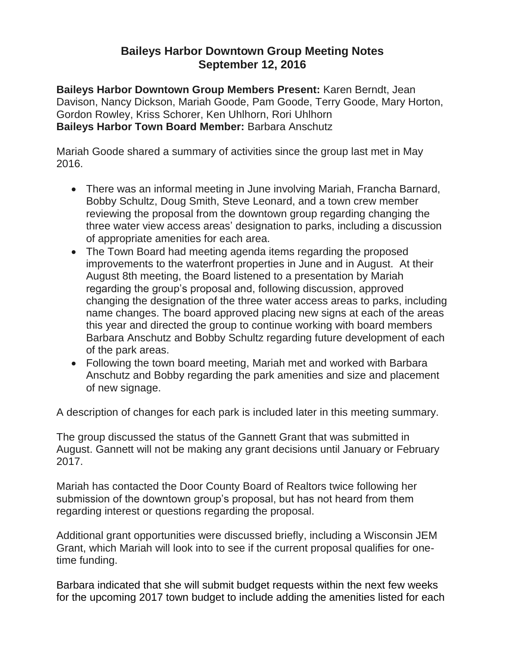## **Baileys Harbor Downtown Group Meeting Notes September 12, 2016**

**Baileys Harbor Downtown Group Members Present:** Karen Berndt, Jean Davison, Nancy Dickson, Mariah Goode, Pam Goode, Terry Goode, Mary Horton, Gordon Rowley, Kriss Schorer, Ken Uhlhorn, Rori Uhlhorn **Baileys Harbor Town Board Member:** Barbara Anschutz

Mariah Goode shared a summary of activities since the group last met in May 2016.

- There was an informal meeting in June involving Mariah, Francha Barnard, Bobby Schultz, Doug Smith, Steve Leonard, and a town crew member reviewing the proposal from the downtown group regarding changing the three water view access areas' designation to parks, including a discussion of appropriate amenities for each area.
- The Town Board had meeting agenda items regarding the proposed improvements to the waterfront properties in June and in August. At their August 8th meeting, the Board listened to a presentation by Mariah regarding the group's proposal and, following discussion, approved changing the designation of the three water access areas to parks, including name changes. The board approved placing new signs at each of the areas this year and directed the group to continue working with board members Barbara Anschutz and Bobby Schultz regarding future development of each of the park areas.
- Following the town board meeting, Mariah met and worked with Barbara Anschutz and Bobby regarding the park amenities and size and placement of new signage.

A description of changes for each park is included later in this meeting summary.

The group discussed the status of the Gannett Grant that was submitted in August. Gannett will not be making any grant decisions until January or February 2017.

Mariah has contacted the Door County Board of Realtors twice following her submission of the downtown group's proposal, but has not heard from them regarding interest or questions regarding the proposal.

Additional grant opportunities were discussed briefly, including a Wisconsin JEM Grant, which Mariah will look into to see if the current proposal qualifies for onetime funding.

Barbara indicated that she will submit budget requests within the next few weeks for the upcoming 2017 town budget to include adding the amenities listed for each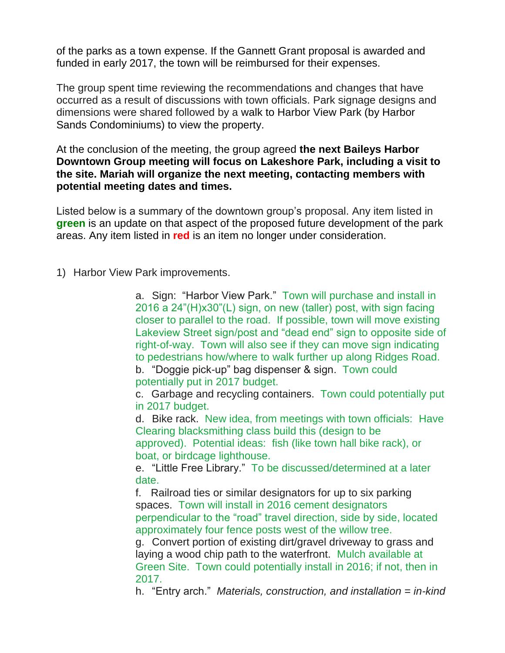of the parks as a town expense. If the Gannett Grant proposal is awarded and funded in early 2017, the town will be reimbursed for their expenses.

The group spent time reviewing the recommendations and changes that have occurred as a result of discussions with town officials. Park signage designs and dimensions were shared followed by a walk to Harbor View Park (by Harbor Sands Condominiums) to view the property.

At the conclusion of the meeting, the group agreed **the next Baileys Harbor Downtown Group meeting will focus on Lakeshore Park, including a visit to the site. Mariah will organize the next meeting, contacting members with potential meeting dates and times.**

Listed below is a summary of the downtown group's proposal. Any item listed in **green** is an update on that aspect of the proposed future development of the park areas. Any item listed in **red** is an item no longer under consideration.

1) Harbor View Park improvements.

a. Sign: "Harbor View Park." Town will purchase and install in 2016 a 24"(H)x30"(L) sign, on new (taller) post, with sign facing closer to parallel to the road. If possible, town will move existing Lakeview Street sign/post and "dead end" sign to opposite side of right-of-way. Town will also see if they can move sign indicating to pedestrians how/where to walk further up along Ridges Road.

b. "Doggie pick-up" bag dispenser & sign. Town could potentially put in 2017 budget.

c. Garbage and recycling containers. Town could potentially put in 2017 budget.

d. Bike rack. New idea, from meetings with town officials: Have Clearing blacksmithing class build this (design to be

approved). Potential ideas: fish (like town hall bike rack), or boat, or birdcage lighthouse.

e. "Little Free Library." To be discussed/determined at a later date.

f. Railroad ties or similar designators for up to six parking spaces. Town will install in 2016 cement designators perpendicular to the "road" travel direction, side by side, located approximately four fence posts west of the willow tree.

g. Convert portion of existing dirt/gravel driveway to grass and laying a wood chip path to the waterfront. Mulch available at Green Site. Town could potentially install in 2016; if not, then in 2017.

h. "Entry arch." *Materials, construction, and installation = in-kind*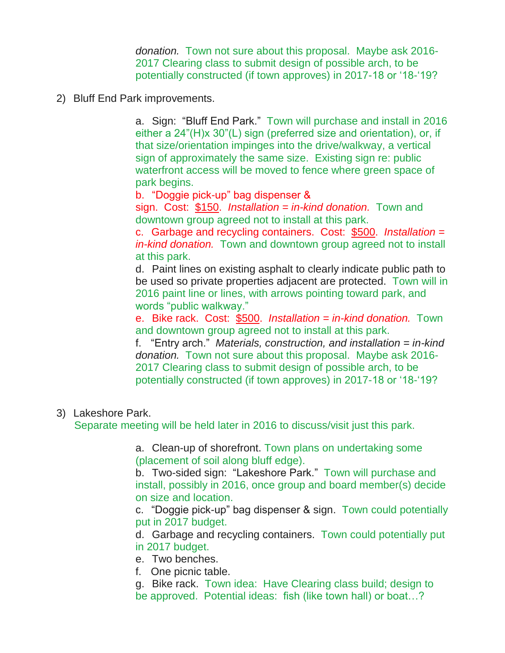*donation.* Town not sure about this proposal. Maybe ask 2016- 2017 Clearing class to submit design of possible arch, to be potentially constructed (if town approves) in 2017-18 or '18-'19?

2) Bluff End Park improvements.

a. Sign: "Bluff End Park." Town will purchase and install in 2016 either a 24"(H)x 30"(L) sign (preferred size and orientation), or, if that size/orientation impinges into the drive/walkway, a vertical sign of approximately the same size. Existing sign re: public waterfront access will be moved to fence where green space of park begins.

b. "Doggie pick-up" bag dispenser &

sign. Cost: \$150. *Installation = in-kind donation.* Town and downtown group agreed not to install at this park.

c. Garbage and recycling containers. Cost: \$500. *Installation = in-kind donation.* Town and downtown group agreed not to install at this park.

d. Paint lines on existing asphalt to clearly indicate public path to be used so private properties adjacent are protected. Town will in 2016 paint line or lines, with arrows pointing toward park, and words "public walkway."

e. Bike rack. Cost: \$500. *Installation = in-kind donation.* Town and downtown group agreed not to install at this park.

f. "Entry arch." *Materials, construction, and installation = in-kind donation.* Town not sure about this proposal. Maybe ask 2016- 2017 Clearing class to submit design of possible arch, to be potentially constructed (if town approves) in 2017-18 or '18-'19?

3) Lakeshore Park.

Separate meeting will be held later in 2016 to discuss/visit just this park.

a. Clean-up of shorefront. Town plans on undertaking some (placement of soil along bluff edge).

b. Two-sided sign: "Lakeshore Park." Town will purchase and install, possibly in 2016, once group and board member(s) decide on size and location.

c. "Doggie pick-up" bag dispenser & sign. Town could potentially put in 2017 budget.

d. Garbage and recycling containers. Town could potentially put in 2017 budget.

- e. Two benches.
- f. One picnic table.
- g. Bike rack. Town idea: Have Clearing class build; design to be approved. Potential ideas: fish (like town hall) or boat…?